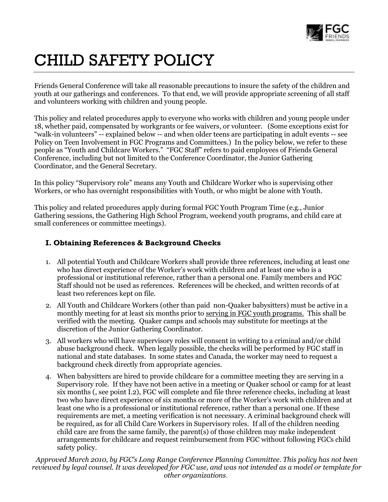

# CHILD SAFETY POLICY

Friends General Conference will take all reasonable precautions to insure the safety of the children and youth at our gatherings and conferences. To that end, we will provide appropriate screening of all staff and volunteers working with children and young people.

This policy and related procedures apply to everyone who works with children and young people under 18, whether paid, compensated by workgrants or fee waivers, or volunteer. (Some exceptions exist for "walk-in volunteers" -- explained below -- and when older teens are participating in adult events -- see Policy on Teen Involvement in FGC Programs and Committees.) In the policy below, we refer to these people as "Youth and Childcare Workers." "FGC Staff" refers to paid employees of Friends General Conference, including but not limited to the Conference Coordinator, the Junior Gathering Coordinator, and the General Secretary.

In this policy "Supervisory role" means any Youth and Childcare Worker who is supervising other Workers, or who has overnight responsibilities with Youth, or who might be alone with Youth.

This policy and related procedures apply during formal FGC Youth Program Time (e.g., Junior Gathering sessions, the Gathering High School Program, weekend youth programs, and child care at small conferences or committee meetings).

## **I. Obtaining References & Background Checks**

- 1. All potential Youth and Childcare Workers shall provide three references, including at least one who has direct experience of the Worker's work with children and at least one who is a professional or institutional reference, rather than a personal one. Family members and FGC Staff should not be used as references. References will be checked, and written records of at least two references kept on file.
- 2. All Youth and Childcare Workers (other than paid non-Quaker babysitters) must be active in a monthly meeting for at least six months prior to serving in FGC youth programs. This shall be verified with the meeting. Quaker camps and schools may substitute for meetings at the discretion of the Junior Gathering Coordinator.
- 3. All workers who will have supervisory roles will consent in writing to a criminal and/or child abuse background check. When legally possible, the checks will be performed by FGC staff in national and state databases. In some states and Canada, the worker may need to request a background check directly from appropriate agencies.
- 4. When babysitters are hired to provide childcare for a committee meeting they are serving in a Supervisory role. If they have not been active in a meeting or Quaker school or camp for at least six months (, see point I.2), FGC will complete and file three reference checks, including at least two who have direct experience of six months or more of the Worker's work with children and at least one who is a professional or institutional reference, rather than a personal one. If these requirements are met, a meeting verification is not necessary. A criminal background check will be required, as for all Child Care Workers in Supervisory roles. If all of the children needing child care are from the same family, the parent(s) of those children may make independent arrangements for childcare and request reimbursement from FGC without following FGCs child safety policy.

*Approved March 2010, by FGC's Long Range Conference Planning Committee. This policy has not been reviewed by legal counsel. It was developed for FGC use, and was not intended as a model or template for other organizations*.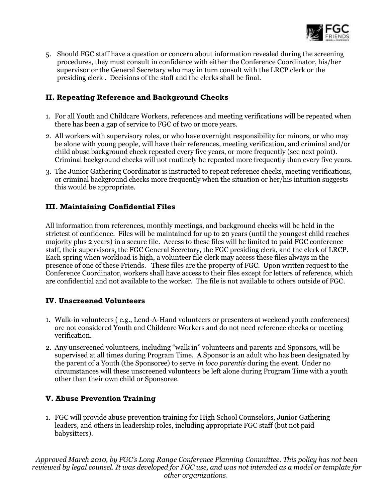

5. Should FGC staff have a question or concern about information revealed during the screening procedures, they must consult in confidence with either the Conference Coordinator, his/her supervisor or the General Secretary who may in turn consult with the LRCP clerk or the presiding clerk . Decisions of the staff and the clerks shall be final.

#### **II. Repeating Reference and Background Checks**

- 1. For all Youth and Childcare Workers, references and meeting verifications will be repeated when there has been a gap of service to FGC of two or more years.
- 2. All workers with supervisory roles, or who have overnight responsibility for minors, or who may be alone with young people, will have their references, meeting verification, and criminal and/or child abuse background check repeated every five years, or more frequently (see next point). Criminal background checks will not routinely be repeated more frequently than every five years.
- 3. The Junior Gathering Coordinator is instructed to repeat reference checks, meeting verifications, or criminal background checks more frequently when the situation or her/his intuition suggests this would be appropriate.

# **III. Maintaining Confidential Files**

All information from references, monthly meetings, and background checks will be held in the strictest of confidence. Files will be maintained for up to 20 years (until the youngest child reaches majority plus 2 years) in a secure file. Access to these files will be limited to paid FGC conference staff, their supervisors, the FGC General Secretary, the FGC presiding clerk, and the clerk of LRCP. Each spring when workload is high, a volunteer file clerk may access these files always in the presence of one of these Friends. These files are the property of FGC. Upon written request to the Conference Coordinator, workers shall have access to their files except for letters of reference, which are confidential and not available to the worker. The file is not available to others outside of FGC.

#### **IV. Unscreened Volunteers**

- 1. Walk-in volunteers ( e.g., Lend-A-Hand volunteers or presenters at weekend youth conferences) are not considered Youth and Childcare Workers and do not need reference checks or meeting verification.
- 2. Any unscreened volunteers, including "walk in" volunteers and parents and Sponsors, will be supervised at all times during Program Time. A Sponsor is an adult who has been designated by the parent of a Youth (the Sponsoree) to serve *in loco parentis* during the event. Under no circumstances will these unscreened volunteers be left alone during Program Time with a youth other than their own child or Sponsoree.

# **V. Abuse Prevention Training**

1. FGC will provide abuse prevention training for High School Counselors, Junior Gathering leaders, and others in leadership roles, including appropriate FGC staff (but not paid babysitters).

*Approved March 2010, by FGC's Long Range Conference Planning Committee. This policy has not been reviewed by legal counsel. It was developed for FGC use, and was not intended as a model or template for other organizations*.